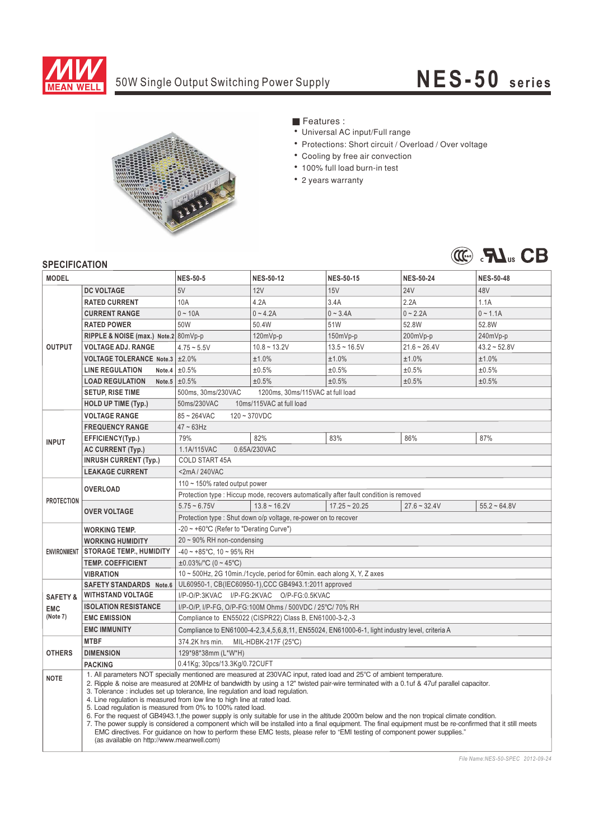

## 50W Single Output Switching Power Supply

## **NES-50 series**



- Features:
- Universal AC input/Full range
- Protections: Short circuit / Overload / Over voltage
- Cooling by free air convection
- 100% full load burn-in test
- 2 years warranty



## **CDECIEICATION**

| <b>SPEUIFIUAI IUN</b> |                                                                                                                                                                                                                                                                                                                                                                                                                                                                                                                                                                                                                                                                                                                                                                                                                                                                                                                                                                                      |                                                                                                      |                                                                         |                  |                  |                  |  |
|-----------------------|--------------------------------------------------------------------------------------------------------------------------------------------------------------------------------------------------------------------------------------------------------------------------------------------------------------------------------------------------------------------------------------------------------------------------------------------------------------------------------------------------------------------------------------------------------------------------------------------------------------------------------------------------------------------------------------------------------------------------------------------------------------------------------------------------------------------------------------------------------------------------------------------------------------------------------------------------------------------------------------|------------------------------------------------------------------------------------------------------|-------------------------------------------------------------------------|------------------|------------------|------------------|--|
| <b>MODEL</b>          |                                                                                                                                                                                                                                                                                                                                                                                                                                                                                                                                                                                                                                                                                                                                                                                                                                                                                                                                                                                      | <b>NES-50-5</b>                                                                                      | <b>NES-50-12</b>                                                        | <b>NES-50-15</b> | <b>NES-50-24</b> | <b>NES-50-48</b> |  |
| <b>OUTPUT</b>         | <b>DC VOLTAGE</b>                                                                                                                                                                                                                                                                                                                                                                                                                                                                                                                                                                                                                                                                                                                                                                                                                                                                                                                                                                    | 5V                                                                                                   | 12V                                                                     | 15V              | <b>24V</b>       | 48V              |  |
|                       | <b>RATED CURRENT</b>                                                                                                                                                                                                                                                                                                                                                                                                                                                                                                                                                                                                                                                                                                                                                                                                                                                                                                                                                                 | 10A                                                                                                  | 4.2A                                                                    | 3.4A             | 2.2A             | 1.1A             |  |
|                       | <b>CURRENT RANGE</b>                                                                                                                                                                                                                                                                                                                                                                                                                                                                                                                                                                                                                                                                                                                                                                                                                                                                                                                                                                 | $0 - 10A$                                                                                            | $0 - 4.2A$                                                              | $0 - 3.4A$       | $0 - 2.2A$       | $0 - 1.1A$       |  |
|                       | <b>RATED POWER</b>                                                                                                                                                                                                                                                                                                                                                                                                                                                                                                                                                                                                                                                                                                                                                                                                                                                                                                                                                                   | 50W                                                                                                  | 50.4W                                                                   | 51W              | 52.8W            | 52.8W            |  |
|                       | RIPPLE & NOISE (max.) Note.2 80mVp-p                                                                                                                                                                                                                                                                                                                                                                                                                                                                                                                                                                                                                                                                                                                                                                                                                                                                                                                                                 |                                                                                                      | 120mVp-p                                                                | 150mVp-p         | 200mVp-p         | 240mVp-p         |  |
|                       | <b>VOLTAGE ADJ. RANGE</b>                                                                                                                                                                                                                                                                                                                                                                                                                                                                                                                                                                                                                                                                                                                                                                                                                                                                                                                                                            | $4.75 - 5.5V$                                                                                        | $10.8 - 13.2V$                                                          | $13.5 - 16.5V$   | $21.6 - 26.4V$   | $43.2 - 52.8V$   |  |
|                       | VOLTAGE TOLERANCE Note.3 ±2.0%                                                                                                                                                                                                                                                                                                                                                                                                                                                                                                                                                                                                                                                                                                                                                                                                                                                                                                                                                       |                                                                                                      | ±1.0%                                                                   | ±1.0%            | ±1.0%            | ±1.0%            |  |
|                       | <b>LINE REGULATION</b>                                                                                                                                                                                                                                                                                                                                                                                                                                                                                                                                                                                                                                                                                                                                                                                                                                                                                                                                                               | Note.4 $\pm 0.5\%$                                                                                   | ±0.5%                                                                   | ±0.5%            | ±0.5%            | ±0.5%            |  |
|                       | <b>LOAD REGULATION</b><br>Note. $5$                                                                                                                                                                                                                                                                                                                                                                                                                                                                                                                                                                                                                                                                                                                                                                                                                                                                                                                                                  | ±0.5%                                                                                                | ±0.5%                                                                   | ±0.5%            | ±0.5%            | ±0.5%            |  |
|                       | <b>SETUP, RISE TIME</b>                                                                                                                                                                                                                                                                                                                                                                                                                                                                                                                                                                                                                                                                                                                                                                                                                                                                                                                                                              | 500ms, 30ms/230VAC<br>1200ms, 30ms/115VAC at full load                                               |                                                                         |                  |                  |                  |  |
|                       | <b>HOLD UP TIME (Typ.)</b>                                                                                                                                                                                                                                                                                                                                                                                                                                                                                                                                                                                                                                                                                                                                                                                                                                                                                                                                                           | 10ms/115VAC at full load<br>50ms/230VAC                                                              |                                                                         |                  |                  |                  |  |
| <b>INPUT</b>          | <b>VOLTAGE RANGE</b>                                                                                                                                                                                                                                                                                                                                                                                                                                                                                                                                                                                                                                                                                                                                                                                                                                                                                                                                                                 | $85 - 264$ VAC<br>$120 - 370VDC$                                                                     |                                                                         |                  |                  |                  |  |
|                       | <b>FREQUENCY RANGE</b>                                                                                                                                                                                                                                                                                                                                                                                                                                                                                                                                                                                                                                                                                                                                                                                                                                                                                                                                                               | $47 \sim 63$ Hz                                                                                      |                                                                         |                  |                  |                  |  |
|                       | EFFICIENCY(Typ.)                                                                                                                                                                                                                                                                                                                                                                                                                                                                                                                                                                                                                                                                                                                                                                                                                                                                                                                                                                     | 79%                                                                                                  | 82%                                                                     | 83%              | 86%              | 87%              |  |
|                       | <b>AC CURRENT (Typ.)</b>                                                                                                                                                                                                                                                                                                                                                                                                                                                                                                                                                                                                                                                                                                                                                                                                                                                                                                                                                             | 1.1A/115VAC<br>0.65A/230VAC                                                                          |                                                                         |                  |                  |                  |  |
|                       | <b>INRUSH CURRENT (Typ.)</b>                                                                                                                                                                                                                                                                                                                                                                                                                                                                                                                                                                                                                                                                                                                                                                                                                                                                                                                                                         | <b>COLD START 45A</b>                                                                                |                                                                         |                  |                  |                  |  |
|                       | <b>LEAKAGE CURRENT</b>                                                                                                                                                                                                                                                                                                                                                                                                                                                                                                                                                                                                                                                                                                                                                                                                                                                                                                                                                               | <2mA / 240VAC                                                                                        |                                                                         |                  |                  |                  |  |
| <b>PROTECTION</b>     | <b>OVERLOAD</b>                                                                                                                                                                                                                                                                                                                                                                                                                                                                                                                                                                                                                                                                                                                                                                                                                                                                                                                                                                      | 110 $\sim$ 150% rated output power                                                                   |                                                                         |                  |                  |                  |  |
|                       |                                                                                                                                                                                                                                                                                                                                                                                                                                                                                                                                                                                                                                                                                                                                                                                                                                                                                                                                                                                      | Protection type : Hiccup mode, recovers automatically after fault condition is removed               |                                                                         |                  |                  |                  |  |
|                       | <b>OVER VOLTAGE</b>                                                                                                                                                                                                                                                                                                                                                                                                                                                                                                                                                                                                                                                                                                                                                                                                                                                                                                                                                                  | $5.75 - 6.75V$                                                                                       | $13.8 - 16.2V$                                                          | $17.25 - 20.25$  | $27.6 - 32.4V$   | $55.2 - 64.8V$   |  |
|                       |                                                                                                                                                                                                                                                                                                                                                                                                                                                                                                                                                                                                                                                                                                                                                                                                                                                                                                                                                                                      | Protection type: Shut down o/p voltage, re-power on to recover                                       |                                                                         |                  |                  |                  |  |
| <b>ENVIRONMENT</b>    | <b>WORKING TEMP.</b>                                                                                                                                                                                                                                                                                                                                                                                                                                                                                                                                                                                                                                                                                                                                                                                                                                                                                                                                                                 | -20 ~ +60°C (Refer to "Derating Curve")                                                              |                                                                         |                  |                  |                  |  |
|                       | <b>WORKING HUMIDITY</b>                                                                                                                                                                                                                                                                                                                                                                                                                                                                                                                                                                                                                                                                                                                                                                                                                                                                                                                                                              | $20 \sim 90\%$ RH non-condensing                                                                     |                                                                         |                  |                  |                  |  |
|                       | <b>STORAGE TEMP., HUMIDITY</b>                                                                                                                                                                                                                                                                                                                                                                                                                                                                                                                                                                                                                                                                                                                                                                                                                                                                                                                                                       | $-40 \sim +85^{\circ}$ C, 10 ~ 95% RH                                                                |                                                                         |                  |                  |                  |  |
|                       | <b>TEMP. COEFFICIENT</b>                                                                                                                                                                                                                                                                                                                                                                                                                                                                                                                                                                                                                                                                                                                                                                                                                                                                                                                                                             | $\pm 0.03\%$ /°C (0 ~ 45°C)                                                                          |                                                                         |                  |                  |                  |  |
|                       | <b>VIBRATION</b>                                                                                                                                                                                                                                                                                                                                                                                                                                                                                                                                                                                                                                                                                                                                                                                                                                                                                                                                                                     |                                                                                                      | 10 ~ 500Hz, 2G 10min./1cycle, period for 60min. each along X, Y, Z axes |                  |                  |                  |  |
|                       | UL60950-1, CB(IEC60950-1), CCC GB4943.1:2011 approved<br><b>SAFETY STANDARDS</b> Note.6                                                                                                                                                                                                                                                                                                                                                                                                                                                                                                                                                                                                                                                                                                                                                                                                                                                                                              |                                                                                                      |                                                                         |                  |                  |                  |  |
| <b>SAFETY &amp;</b>   | <b>WITHSTAND VOLTAGE</b>                                                                                                                                                                                                                                                                                                                                                                                                                                                                                                                                                                                                                                                                                                                                                                                                                                                                                                                                                             | I/P-O/P:3KVAC I/P-FG:2KVAC O/P-FG:0.5KVAC                                                            |                                                                         |                  |                  |                  |  |
| <b>EMC</b>            | <b>ISOLATION RESISTANCE</b>                                                                                                                                                                                                                                                                                                                                                                                                                                                                                                                                                                                                                                                                                                                                                                                                                                                                                                                                                          | I/P-O/P, I/P-FG, O/P-FG:100M Ohms / 500VDC / 25°C/ 70% RH                                            |                                                                         |                  |                  |                  |  |
| (Note 7)              | <b>EMC EMISSION</b>                                                                                                                                                                                                                                                                                                                                                                                                                                                                                                                                                                                                                                                                                                                                                                                                                                                                                                                                                                  | Compliance to EN55022 (CISPR22) Class B, EN61000-3-2,-3                                              |                                                                         |                  |                  |                  |  |
|                       | <b>EMC IMMUNITY</b>                                                                                                                                                                                                                                                                                                                                                                                                                                                                                                                                                                                                                                                                                                                                                                                                                                                                                                                                                                  | Compliance to EN61000-4-2, 3, 4, 5, 6, 8, 11, EN55024, EN61000-6-1, light industry level, criteria A |                                                                         |                  |                  |                  |  |
| <b>OTHERS</b>         | <b>MTBF</b>                                                                                                                                                                                                                                                                                                                                                                                                                                                                                                                                                                                                                                                                                                                                                                                                                                                                                                                                                                          | 374.2K hrs min.<br>MIL-HDBK-217F (25°C)                                                              |                                                                         |                  |                  |                  |  |
|                       | <b>DIMENSION</b>                                                                                                                                                                                                                                                                                                                                                                                                                                                                                                                                                                                                                                                                                                                                                                                                                                                                                                                                                                     | 129*98*38mm (L*W*H)                                                                                  |                                                                         |                  |                  |                  |  |
|                       | <b>PACKING</b>                                                                                                                                                                                                                                                                                                                                                                                                                                                                                                                                                                                                                                                                                                                                                                                                                                                                                                                                                                       | 0.41Kg; 30pcs/13.3Kg/0.72CUFT                                                                        |                                                                         |                  |                  |                  |  |
| <b>NOTE</b>           | 1. All parameters NOT specially mentioned are measured at 230VAC input, rated load and 25°C of ambient temperature.<br>2. Ripple & noise are measured at 20MHz of bandwidth by using a 12" twisted pair-wire terminated with a 0.1uf & 47uf parallel capacitor.<br>3. Tolerance: includes set up tolerance, line regulation and load regulation.<br>4. Line regulation is measured from low line to high line at rated load.<br>5. Load regulation is measured from 0% to 100% rated load.<br>6. For the request of GB4943.1, the power supply is only suitable for use in the altitude 2000m below and the non tropical climate condition.<br>7. The power supply is considered a component which will be installed into a final equipment. The final equipment must be re-confirmed that it still meets<br>EMC directives. For guidance on how to perform these EMC tests, please refer to "EMI testing of component power supplies."<br>(as available on http://www.meanwell.com) |                                                                                                      |                                                                         |                  |                  |                  |  |

*File Name:NES-50-SPEC 2012-09-24*